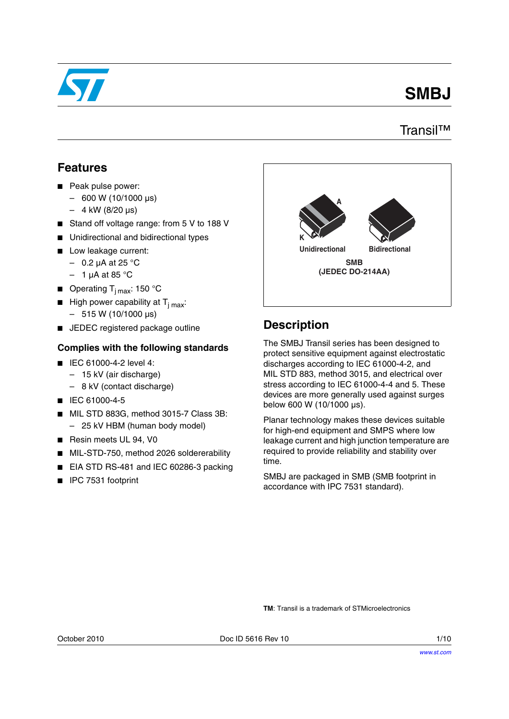

# **SMBJ**

### Transil™

### **Features**

- Peak pulse power:
	- 600 W (10/1000 μs)
	- $-4$  kW (8/20 µs)
- Stand off voltage range: from 5 V to 188 V
- Unidirectional and bidirectional types
- Low leakage current:
	- $-$  0.2 µA at 25 °C
	- $-1$  µA at 85 °C
- **■** Operating  $T_{i \text{ max}}$ : 150 °C
- **■** High power capability at  $T_{j max}$ :  $-515 W (10/1000 \,\mu s)$
- JEDEC registered package outline

### **Complies with the following standards**

- IEC 61000-4-2 level 4:
	- 15 kV (air discharge)
	- 8 kV (contact discharge)
- IEC 61000-4-5
- MIL STD 883G, method 3015-7 Class 3B: – 25 kV HBM (human body model)
- Resin meets UL 94, V0
- MIL-STD-750, method 2026 soldererability
- EIA STD RS-481 and IEC 60286-3 packing
- IPC 7531 footprint



## **Description**

The SMBJ Transil series has been designed to protect sensitive equipment against electrostatic discharges according to IEC 61000-4-2, and MIL STD 883, method 3015, and electrical over stress according to IEC 61000-4-4 and 5. These devices are more generally used against surges below 600 W (10/1000 μs).

Planar technology makes these devices suitable for high-end equipment and SMPS where low leakage current and high junction temperature are required to provide reliability and stability over time.

SMBJ are packaged in SMB (SMB footprint in accordance with IPC 7531 standard).

**TM**: Transil is a trademark of STMicroelectronics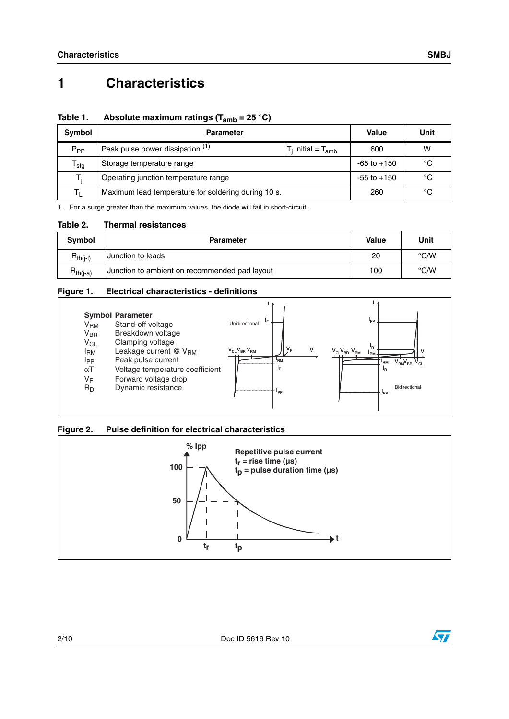# **1 Characteristics**

### **Table 1. Absolute maximum ratings (Tamb = 25 °C)**

| Symbol                      | <b>Parameter</b>                                              | Value           | Unit |
|-----------------------------|---------------------------------------------------------------|-----------------|------|
| $P_{PP}$                    | Peak pulse power dissipation (1)<br>$T_i$ initial = $T_{amb}$ | 600             | w    |
| $\mathsf{r}_{\mathsf{stg}}$ | Storage temperature range                                     | $-65$ to $+150$ | °C   |
| т.                          | Operating junction temperature range                          | $-55$ to $+150$ | °C   |
|                             | Maximum lead temperature for soldering during 10 s.           | 260             | °C   |

1. For a surge greater than the maximum values, the diode will fail in short-circuit.

#### **Table 2. Thermal resistances**

| Symbol        | <b>Parameter</b>                              | <b>Value</b> | Unit          |
|---------------|-----------------------------------------------|--------------|---------------|
| $R_{th(i-l)}$ | Junction to leads                             | 20           | $\degree$ C/W |
| $R_{th(j-a)}$ | Junction to ambient on recommended pad layout | 100          | $\degree$ C/W |

#### **Figure 1. Electrical characteristics - definitions**



#### **Figure 2. Pulse definition for electrical characteristics**



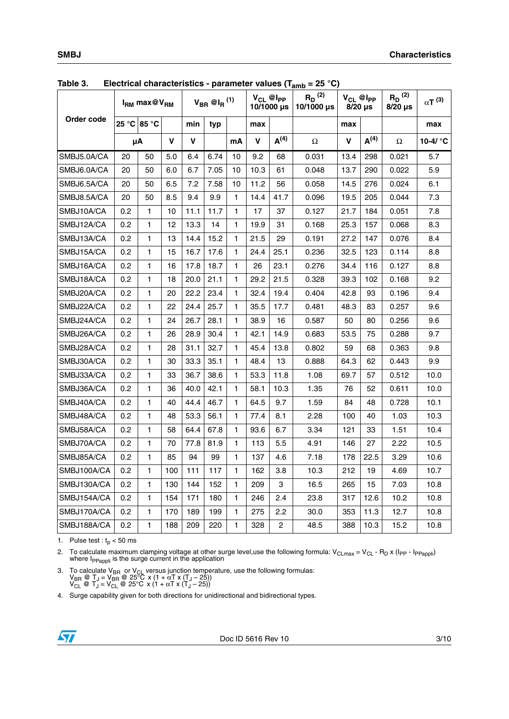| <b>LANIC 0.</b> | $\blacksquare$ lectrical characteristics - parameter values (Tamb | $I_{RM}$ max@ $V_{RM}$ |     |      | $V_{BR}$ @I <sub>R</sub> $^{(1)}$ |              |             | $V_{CL}$ @ $I_{PP}$<br>10/1000 µs | – 20 U<br>$R_D^{(2)}$<br>10/1000 µs |             | $V_{CL}$ @ $I_{PP}$<br>$8/20$ µs | $R_D^{(2)}$<br>$8/20$ µs | $\alpha T^{(3)}$  |
|-----------------|-------------------------------------------------------------------|------------------------|-----|------|-----------------------------------|--------------|-------------|-----------------------------------|-------------------------------------|-------------|----------------------------------|--------------------------|-------------------|
| Order code      |                                                                   | 25 °C 85 °C            |     | min  | typ                               |              | max         |                                   |                                     | max         |                                  |                          | max               |
|                 |                                                                   | μA                     | V   | V    |                                   | mA           | $\mathbf v$ | A <sup>(4)</sup>                  | $\Omega$                            | $\mathbf v$ | A <sup>(4)</sup>                 | $\Omega$                 | 10-4/ $\degree$ C |
| SMBJ5.0A/CA     | 20                                                                | 50                     | 5.0 | 6.4  | 6.74                              | 10           | 9.2         | 68                                | 0.031                               | 13.4        | 298                              | 0.021                    | 5.7               |
| SMBJ6.0A/CA     | 20                                                                | 50                     | 6.0 | 6.7  | 7.05                              | 10           | 10.3        | 61                                | 0.048                               | 13.7        | 290                              | 0.022                    | 5.9               |
| SMBJ6.5A/CA     | 20                                                                | 50                     | 6.5 | 7.2  | 7.58                              | 10           | 11.2        | 56                                | 0.058                               | 14.5        | 276                              | 0.024                    | 6.1               |
| SMBJ8.5A/CA     | 20                                                                | 50                     | 8.5 | 9.4  | 9.9                               | 1            | 14.4        | 41.7                              | 0.096                               | 19.5        | 205                              | 0.044                    | 7.3               |
| SMBJ10A/CA      | 0.2                                                               | $\mathbf{1}$           | 10  | 11.1 | 11.7                              | $\mathbf{1}$ | 17          | 37                                | 0.127                               | 21.7        | 184                              | 0.051                    | 7.8               |
| SMBJ12A/CA      | 0.2                                                               | $\mathbf{1}$           | 12  | 13.3 | 14                                | 1            | 19.9        | 31                                | 0.168                               | 25.3        | 157                              | 0.068                    | 8.3               |
| SMBJ13A/CA      | 0.2                                                               | 1                      | 13  | 14.4 | 15.2                              | 1            | 21.5        | 29                                | 0.191                               | 27.2        | 147                              | 0.076                    | 8.4               |
| SMBJ15A/CA      | 0.2                                                               | $\mathbf{1}$           | 15  | 16.7 | 17.6                              | 1            | 24.4        | 25.1                              | 0.236                               | 32.5        | 123                              | 0.114                    | 8.8               |
| SMBJ16A/CA      | 0.2                                                               | $\mathbf{1}$           | 16  | 17.8 | 18.7                              | $\mathbf{1}$ | 26          | 23.1                              | 0.276                               | 34.4        | 116                              | 0.127                    | 8.8               |
| SMBJ18A/CA      | 0.2                                                               | $\mathbf{1}$           | 18  | 20.0 | 21.1                              | 1            | 29.2        | 21.5                              | 0.328                               | 39.3        | 102                              | 0.168                    | 9.2               |
| SMBJ20A/CA      | 0.2                                                               | $\mathbf{1}$           | 20  | 22.2 | 23.4                              | 1            | 32.4        | 19.4                              | 0.404                               | 42.8        | 93                               | 0.196                    | 9.4               |
| SMBJ22A/CA      | 0.2                                                               | 1                      | 22  | 24.4 | 25.7                              | 1            | 35.5        | 17.7                              | 0.481                               | 48.3        | 83                               | 0.257                    | 9.6               |
| SMBJ24A/CA      | 0.2                                                               | $\mathbf{1}$           | 24  | 26.7 | 28.1                              | 1            | 38.9        | 16                                | 0.587                               | 50          | 80                               | 0.256                    | 9.6               |
| SMBJ26A/CA      | 0.2                                                               | $\mathbf{1}$           | 26  | 28.9 | 30.4                              | 1            | 42.1        | 14.9                              | 0.683                               | 53.5        | 75                               | 0.288                    | 9.7               |
| SMBJ28A/CA      | 0.2                                                               | $\mathbf{1}$           | 28  | 31.1 | 32.7                              | 1            | 45.4        | 13.8                              | 0.802                               | 59          | 68                               | 0.363                    | 9.8               |
| SMBJ30A/CA      | 0.2                                                               | $\mathbf{1}$           | 30  | 33.3 | 35.1                              | 1            | 48.4        | 13                                | 0.888                               | 64.3        | 62                               | 0.443                    | 9.9               |
| SMBJ33A/CA      | 0.2                                                               | $\mathbf{1}$           | 33  | 36.7 | 38.6                              | 1            | 53.3        | 11.8                              | 1.08                                | 69.7        | 57                               | 0.512                    | 10.0              |
| SMBJ36A/CA      | 0.2                                                               | 1                      | 36  | 40.0 | 42.1                              | 1            | 58.1        | 10.3                              | 1.35                                | 76          | 52                               | 0.611                    | 10.0              |
| SMBJ40A/CA      | 0.2                                                               | $\mathbf{1}$           | 40  | 44.4 | 46.7                              | 1            | 64.5        | 9.7                               | 1.59                                | 84          | 48                               | 0.728                    | 10.1              |
| SMBJ48A/CA      | 0.2                                                               | $\mathbf{1}$           | 48  | 53.3 | 56.1                              | 1            | 77.4        | 8.1                               | 2.28                                | 100         | 40                               | 1.03                     | 10.3              |
| SMBJ58A/CA      | 0.2                                                               | $\mathbf{1}$           | 58  | 64.4 | 67.8                              | 1            | 93.6        | 6.7                               | 3.34                                | 121         | 33                               | 1.51                     | 10.4              |
| SMBJ70A/CA      | 0.2                                                               | $\mathbf{1}$           | 70  | 77.8 | 81.9                              | 1            | 113         | 5.5                               | 4.91                                | 146         | 27                               | 2.22                     | 10.5              |
| SMBJ85A/CA      | 0.2                                                               | $\mathbf{1}$           | 85  | 94   | 99                                | 1            | 137         | 4.6                               | 7.18                                | 178         | 22.5                             | 3.29                     | 10.6              |
| SMBJ100A/CA     | 0.2                                                               | 1                      | 100 | 111  | 117                               | 1            | 162         | 3.8                               | 10.3                                | 212         | 19                               | 4.69                     | 10.7              |
| SMBJ130A/CA     | 0.2                                                               | $\mathbf{1}$           | 130 | 144  | 152                               | 1            | 209         | 3                                 | 16.5                                | 265         | 15                               | 7.03                     | 10.8              |
| SMBJ154A/CA     | 0.2                                                               | $\mathbf{1}$           | 154 | 171  | 180                               | $\mathbf{1}$ | 246         | 2.4                               | 23.8                                | 317         | 12.6                             | 10.2                     | 10.8              |
| SMBJ170A/CA     | 0.2                                                               | $\mathbf{1}$           | 170 | 189  | 199                               | 1            | 275         | 2.2                               | 30.0                                | 353         | 11.3                             | 12.7                     | 10.8              |
| SMBJ188A/CA     | 0.2                                                               | 1                      | 188 | 209  | 220                               | 1            | 328         | $\overline{c}$                    | 48.5                                | 388         | 10.3                             | 15.2                     | 10.8              |

<span id="page-2-0"></span>**Table 3. Electrical characteristics - parameter values (Tamb = 25 °C)**

1. Pulse test :  $t_p < 50$  ms

2. To calculate maximum clamping voltage at other surge level,use the following formula: V<sub>CLmax</sub> = V<sub>CL</sub> - R<sub>D</sub> x (I<sub>PP</sub> - I<sub>PPappli</sub>)<br>where I<sub>PPappli</sub> is the surge current in the application

3. To calculate V<sub>BR</sub> or V<sub>CL</sub> versus junction temperature, use the following formulas:<br>
V<sub>BR</sub> @ T<sub>J</sub> = V<sub>BR</sub> @ 25°C x (1 + αT x (T<sub>J</sub> – 25))<br>
V<sub>CL</sub> @ T<sub>J</sub> = V<sub>CL</sub> @ 25°C x (1 + αT x (T<sub>J</sub> – 25))

4. Surge capability given for both directions for unidirectional and bidirectional types.

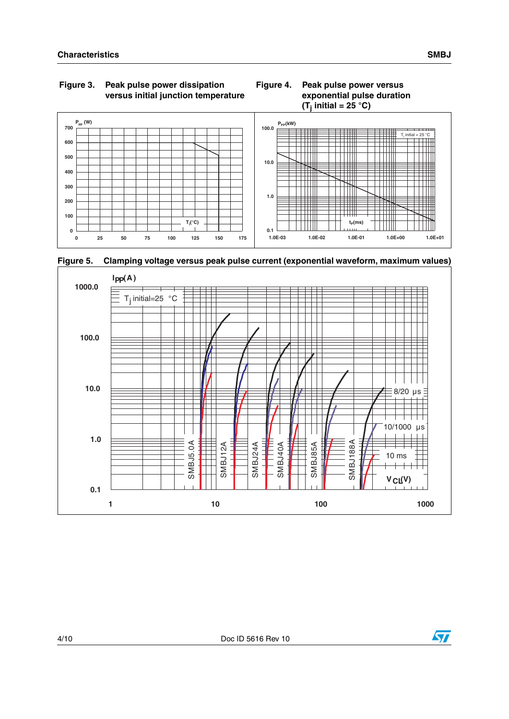#### **Figure 4. Peak pulse power versus exponential pulse duration (Tj initial = 25 °C)**



**Figure 5. Clamping voltage versus peak pulse current (exponential waveform, maximum values)**



 $\sqrt{2}$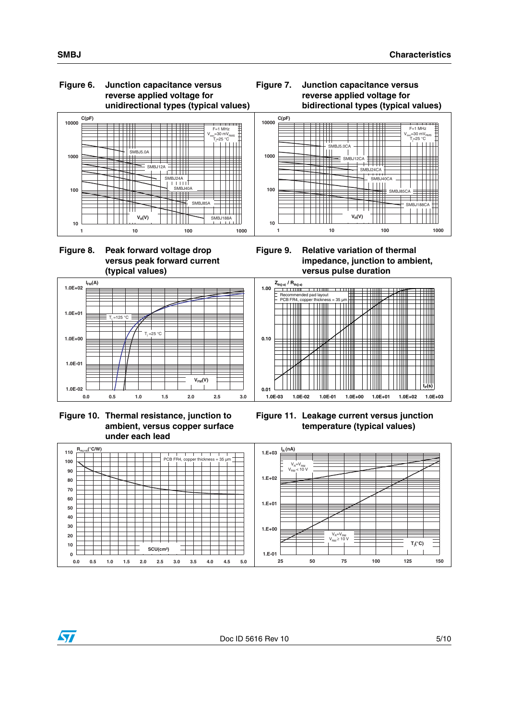#### **Figure 6. Junction capacitance versus reverse applied voltage for unidirectional types (typical values)**











<span id="page-4-0"></span>



**Figure 11. Leakage current versus junction temperature (typical values)**

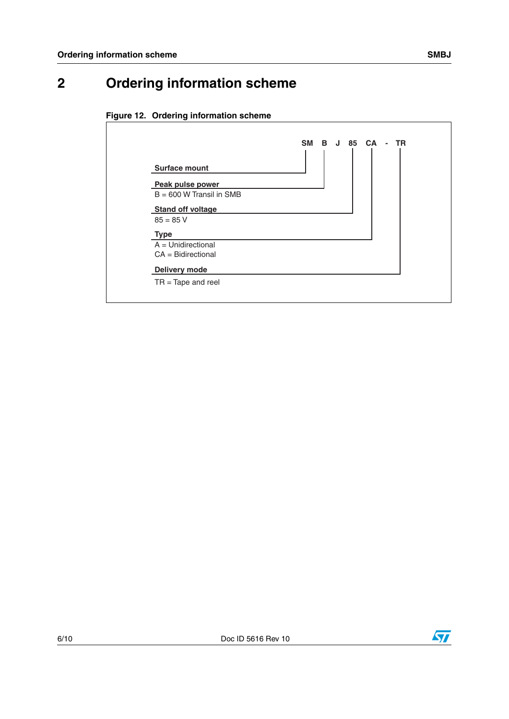# **2 Ordering information scheme**





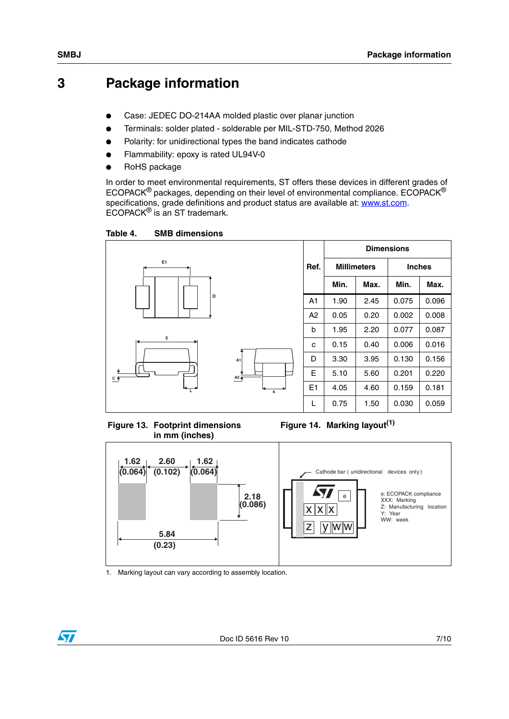## **3 Package information**

- Case: JEDEC DO-214AA molded plastic over planar junction
- Terminals: solder plated solderable per MIL-STD-750, Method 2026
- Polarity: for unidirectional types the band indicates cathode
- Flammability: epoxy is rated UL94V-0
- RoHS package

In order to meet environmental requirements, ST offers these devices in different grades of ECOPACK® packages, depending on their level of environmental compliance. ECOPACK® specifications, grade definitions and product status are available at: [www.st.com](http://www.st.com). ECOPACK® is an ST trademark.

Table 4. **SMB dimensions** 



<span id="page-6-0"></span>**Figure 13. Footprint dimensions in mm (inches)**

**Figure 14. Marking layout(1)**



1. Marking layout can vary according to assembly location.

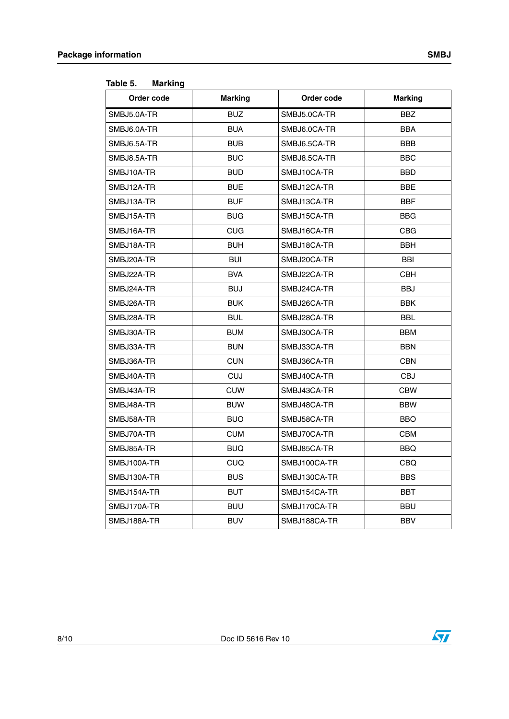| Order code  | <b>Marking</b> | Order code   | <b>Marking</b> |  |  |
|-------------|----------------|--------------|----------------|--|--|
| SMBJ5.0A-TR | <b>BUZ</b>     | SMBJ5.0CA-TR | <b>BBZ</b>     |  |  |
| SMBJ6.0A-TR | <b>BUA</b>     | SMBJ6.0CA-TR | <b>BBA</b>     |  |  |
| SMBJ6.5A-TR | <b>BUB</b>     | SMBJ6.5CA-TR | <b>BBB</b>     |  |  |
| SMBJ8.5A-TR | <b>BUC</b>     | SMBJ8.5CA-TR | <b>BBC</b>     |  |  |
| SMBJ10A-TR  | <b>BUD</b>     | SMBJ10CA-TR  | <b>BBD</b>     |  |  |
| SMBJ12A-TR  | <b>BUE</b>     | SMBJ12CA-TR  | BBE            |  |  |
| SMBJ13A-TR  | <b>BUF</b>     | SMBJ13CA-TR  | <b>BBF</b>     |  |  |
| SMBJ15A-TR  | <b>BUG</b>     | SMBJ15CA-TR  | <b>BBG</b>     |  |  |
| SMBJ16A-TR  | <b>CUG</b>     | SMBJ16CA-TR  | <b>CBG</b>     |  |  |
| SMBJ18A-TR  | <b>BUH</b>     | SMBJ18CA-TR  | <b>BBH</b>     |  |  |
| SMBJ20A-TR  | <b>BUI</b>     | SMBJ20CA-TR  | <b>BBI</b>     |  |  |
| SMBJ22A-TR  | <b>BVA</b>     | SMBJ22CA-TR  | <b>CBH</b>     |  |  |
| SMBJ24A-TR  | <b>BUJ</b>     | SMBJ24CA-TR  | <b>BBJ</b>     |  |  |
| SMBJ26A-TR  | <b>BUK</b>     | SMBJ26CA-TR  | <b>BBK</b>     |  |  |
| SMBJ28A-TR  | <b>BUL</b>     | SMBJ28CA-TR  | <b>BBL</b>     |  |  |
| SMBJ30A-TR  | <b>BUM</b>     | SMBJ30CA-TR  | <b>BBM</b>     |  |  |
| SMBJ33A-TR  | <b>BUN</b>     | SMBJ33CA-TR  | <b>BBN</b>     |  |  |
| SMBJ36A-TR  | <b>CUN</b>     | SMBJ36CA-TR  | <b>CBN</b>     |  |  |
| SMBJ40A-TR  | <b>CUJ</b>     | SMBJ40CA-TR  | CBJ            |  |  |
| SMBJ43A-TR  | <b>CUW</b>     | SMBJ43CA-TR  | <b>CBW</b>     |  |  |
| SMBJ48A-TR  | <b>BUW</b>     | SMBJ48CA-TR  | <b>BBW</b>     |  |  |
| SMBJ58A-TR  | <b>BUO</b>     | SMBJ58CA-TR  | <b>BBO</b>     |  |  |
| SMBJ70A-TR  | <b>CUM</b>     | SMBJ70CA-TR  | <b>CBM</b>     |  |  |
| SMBJ85A-TR  | <b>BUQ</b>     | SMBJ85CA-TR  | <b>BBQ</b>     |  |  |
| SMBJ100A-TR | CUQ            | SMBJ100CA-TR | CBQ            |  |  |
| SMBJ130A-TR | <b>BUS</b>     | SMBJ130CA-TR | <b>BBS</b>     |  |  |
| SMBJ154A-TR | <b>BUT</b>     | SMBJ154CA-TR | BBT            |  |  |
| SMBJ170A-TR | <b>BUU</b>     | SMBJ170CA-TR | <b>BBU</b>     |  |  |
| SMBJ188A-TR | <b>BUV</b>     | SMBJ188CA-TR | <b>BBV</b>     |  |  |

<span id="page-7-0"></span>Table 5. **Marking** 



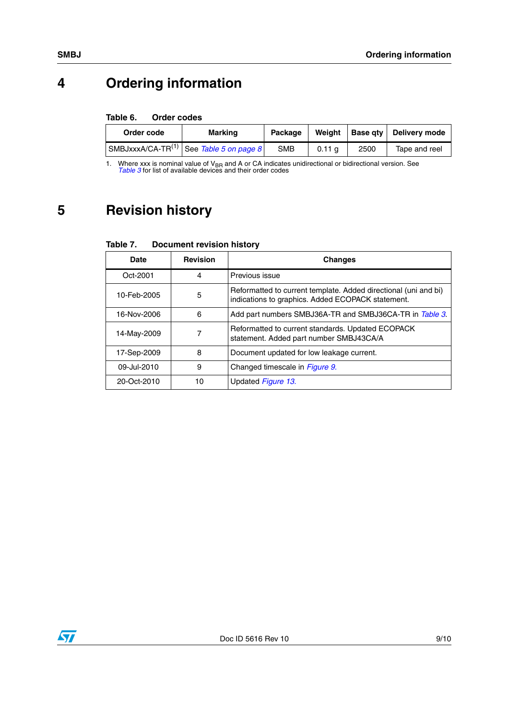# **4 Ordering information**

#### Table 6. **Order codes**

| Order code | <b>Marking</b>                                        | Package    | Weight           |      | <b>Base qty   Delivery mode</b> |  |
|------------|-------------------------------------------------------|------------|------------------|------|---------------------------------|--|
|            | $ \text{SMBJxxxA/CA-TR}^{(1)} $ See Table 5 on page 8 | <b>SMB</b> | $0.11 \text{ a}$ | 2500 | Tape and reel                   |  |

1. Where xxx is nominal value of V<sub>BR</sub> and A or CA indicates unidirectional or bidirectional version. See [Table 3](#page-2-0) for list of available devices and their order codes

# **5 Revision history**

| <b>Document revision history</b> |
|----------------------------------|
|                                  |

| Date        | <b>Revision</b> | <b>Changes</b>                                                                                                       |
|-------------|-----------------|----------------------------------------------------------------------------------------------------------------------|
| Oct-2001    | 4               | Previous issue                                                                                                       |
| 10-Feb-2005 | 5               | Reformatted to current template. Added directional (uni and bi)<br>indications to graphics. Added ECOPACK statement. |
| 16-Nov-2006 | 6               | Add part numbers SMBJ36A-TR and SMBJ36CA-TR in Table 3.                                                              |
| 14-May-2009 |                 | Reformatted to current standards. Updated ECOPACK<br>statement. Added part number SMBJ43CA/A                         |
| 17-Sep-2009 | 8               | Document updated for low leakage current.                                                                            |
| 09-Jul-2010 | 9               | Changed timescale in Figure 9.                                                                                       |
| 20-Oct-2010 | 10              | Updated Figure 13.                                                                                                   |